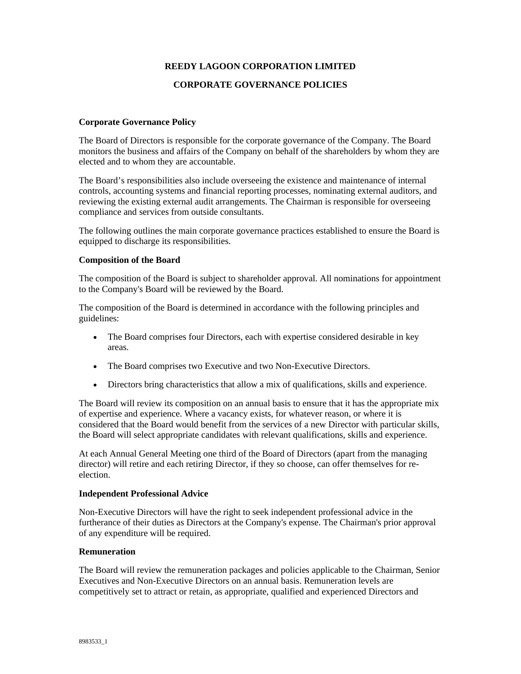## **REEDY LAGOON CORPORATION LIMITED**

### **CORPORATE GOVERNANCE POLICIES**

### **Corporate Governance Policy**

The Board of Directors is responsible for the corporate governance of the Company. The Board monitors the business and affairs of the Company on behalf of the shareholders by whom they are elected and to whom they are accountable.

The Board's responsibilities also include overseeing the existence and maintenance of internal controls, accounting systems and financial reporting processes, nominating external auditors, and reviewing the existing external audit arrangements. The Chairman is responsible for overseeing compliance and services from outside consultants.

The following outlines the main corporate governance practices established to ensure the Board is equipped to discharge its responsibilities.

#### **Composition of the Board**

The composition of the Board is subject to shareholder approval. All nominations for appointment to the Company's Board will be reviewed by the Board.

The composition of the Board is determined in accordance with the following principles and guidelines:

- The Board comprises four Directors, each with expertise considered desirable in key areas.
- The Board comprises two Executive and two Non-Executive Directors.
- Directors bring characteristics that allow a mix of qualifications, skills and experience.

The Board will review its composition on an annual basis to ensure that it has the appropriate mix of expertise and experience. Where a vacancy exists, for whatever reason, or where it is considered that the Board would benefit from the services of a new Director with particular skills, the Board will select appropriate candidates with relevant qualifications, skills and experience.

At each Annual General Meeting one third of the Board of Directors (apart from the managing director) will retire and each retiring Director, if they so choose, can offer themselves for reelection.

#### **Independent Professional Advice**

Non-Executive Directors will have the right to seek independent professional advice in the furtherance of their duties as Directors at the Company's expense. The Chairman's prior approval of any expenditure will be required.

#### **Remuneration**

The Board will review the remuneration packages and policies applicable to the Chairman, Senior Executives and Non-Executive Directors on an annual basis. Remuneration levels are competitively set to attract or retain, as appropriate, qualified and experienced Directors and